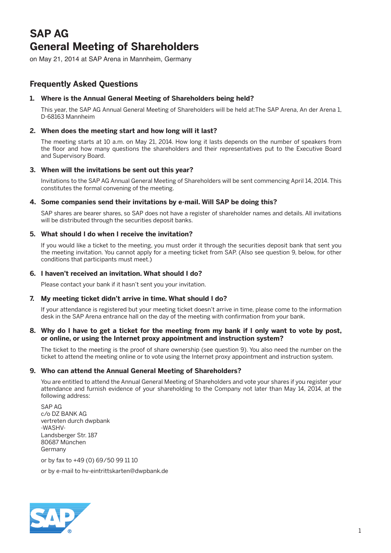# **SAP AG General Meeting of Shareholders**

on May 21, 2014 at SAP Arena in Mannheim, Germany

# **Frequently Asked Questions**

# **1. Where is the Annual General Meeting of Shareholders being held?**

 This year, the SAP AG Annual General Meeting of Shareholders will be held at:The SAP Arena, An der Arena 1, D-68163 Mannheim

# **2. When does the meeting start and how long will it last?**

 The meeting starts at 10 a.m. on May 21, 2014. How long it lasts depends on the number of speakers from the floor and how many questions the shareholders and their representatives put to the Executive Board and Supervisory Board.

# **3. When will the invitations be sent out this year?**

 Invitations to the SAP AG Annual General Meeting of Shareholders will be sent commencing April 14, 2014. This constitutes the formal convening of the meeting.

# **4. Some companies send their invitations by e-mail. Will SAP be doing this?**

 SAP shares are bearer shares, so SAP does not have a register of shareholder names and details. All invitations will be distributed through the securities deposit banks.

# **5. What should I do when I receive the invitation?**

 If you would like a ticket to the meeting, you must order it through the securities deposit bank that sent you the meeting invitation. You cannot apply for a meeting ticket from SAP. (Also see question 9, below, for other conditions that participants must meet.)

# **6. I haven't received an invitation. What should I do?**

Please contact your bank if it hasn't sent you your invitation.

#### **7. My meeting ticket didn't arrive in time. What should I do?**

 If your attendance is registered but your meeting ticket doesn't arrive in time, please come to the information desk in the SAP Arena entrance hall on the day of the meeting with confirmation from your bank.

# **8. Why do I have to get a ticket for the meeting from my bank if I only want to vote by post, or online, or using the Internet proxy appointment and instruction system?**

 The ticket to the meeting is the proof of share ownership (see question 9). You also need the number on the ticket to attend the meeting online or to vote using the Internet proxy appointment and instruction system.

#### **9. Who can attend the Annual General Meeting of Shareholders?**

 You are entitled to attend the Annual General Meeting of Shareholders and vote your shares if you register your attendance and furnish evidence of your shareholding to the Company not later than May 14, 2014, at the following address:

 SAP AG c/o DZ BANK AG vertreten durch dwpbank -WASHV-Landsberger Str. 187 80687 München Germany

or by fax to +49 (0) 69/50 99 11 10

or by e-mail to hv-eintrittskarten@dwpbank.de

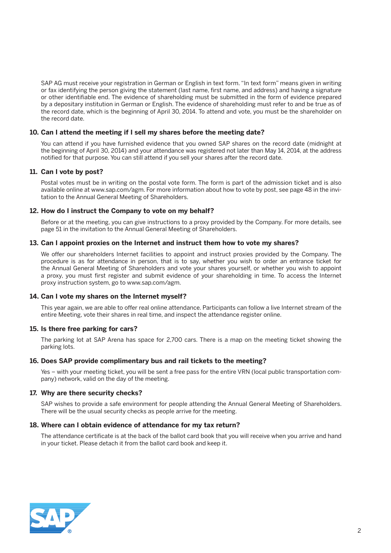SAP AG must receive your registration in German or English in text form. "In text form" means given in writing or fax identifying the person giving the statement (last name, first name, and address) and having a signature or other identifiable end. The evidence of shareholding must be submitted in the form of evidence prepared by a depositary institution in German or English. The evidence of shareholding must refer to and be true as of the record date, which is the beginning of April 30, 2014. To attend and vote, you must be the shareholder on the record date.

#### **10. Can I attend the meeting if I sell my shares before the meeting date?**

 You can attend if you have furnished evidence that you owned SAP shares on the record date (midnight at the beginning of April 30, 2014) and your attendance was registered not later than May 14, 2014, at the address notified for that purpose. You can still attend if you sell your shares after the record date.

# **11. Can I vote by post?**

 Postal votes must be in writing on the postal vote form. The form is part of the admission ticket and is also available online at www.sap.com/agm. For more information about how to vote by post, see page 48 in the invitation to the Annual General Meeting of Shareholders.

# **12. How do I instruct the Company to vote on my behalf?**

 Before or at the meeting, you can give instructions to a proxy provided by the Company. For more details, see page 51 in the invitation to the Annual General Meeting of Shareholders.

#### **13. Can I appoint proxies on the Internet and instruct them how to vote my shares?**

 We offer our shareholders Internet facilities to appoint and instruct proxies provided by the Company. The procedure is as for attendance in person, that is to say, whether you wish to order an entrance ticket for the Annual General Meeting of Shareholders and vote your shares yourself, or whether you wish to appoint a proxy, you must first register and submit evidence of your shareholding in time. To access the Internet proxy instruction system, go to www.sap.com/agm.

#### **14. Can I vote my shares on the Internet myself?**

 This year again, we are able to offer real online attendance. Participants can follow a live Internet stream of the entire Meeting, vote their shares in real time, and inspect the attendance register online.

#### **15. Is there free parking for cars?**

 The parking lot at SAP Arena has space for 2,700 cars. There is a map on the meeting ticket showing the parking lots.

#### **16. Does SAP provide complimentary bus and rail tickets to the meeting?**

 Yes – with your meeting ticket, you will be sent a free pass for the entire VRN (local public transportation company) network, valid on the day of the meeting.

#### **17. Why are there security checks?**

 SAP wishes to provide a safe environment for people attending the Annual General Meeting of Shareholders. There will be the usual security checks as people arrive for the meeting.

#### **18. Where can I obtain evidence of attendance for my tax return?**

 The attendance certificate is at the back of the ballot card book that you will receive when you arrive and hand in your ticket. Please detach it from the ballot card book and keep it.